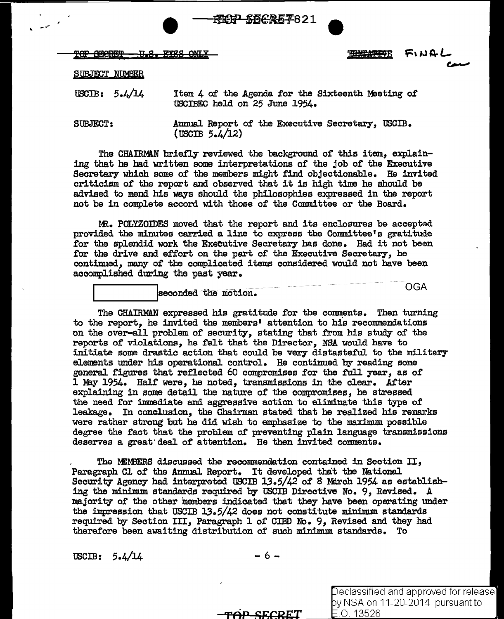|                             | <del>- KIP SDCA57</del> 821 |           |  |
|-----------------------------|-----------------------------|-----------|--|
| TOP SECRET - U.S. EYES ONLY |                             | 悪雑控報 ちいけし |  |

C---

SUBJECT NUMBER

USCIB: 5.4/14 Item 4 of the Agenda for the Sixteenth Meeting of USOIBEC held on 25 June 1954.

SUBJECT: Annual Report of the Executive Secretary, USCIB.  $($  USCIB  $5.4/12)$ 

The CHAIRMAN briefly reviewed the background of this item, explaining that he had written some interpretations of the job of the Executive Secretary which some of the members might find objectionable. He invited criticism of the report and observed that it is high time he should be advised to mend his ways should the philosophies expressed in the report not be in complete accord with those of the Committee or the Board.

MR. POLYZOIDES moved that the report and its enclosures be accepted provided the minutes carried a line to express the Committee's gratitude for the splendid work the Executive Secretary has done. Had it not been for the drive and effort on the part of the Executive Secretary, he continued, many of the complicated items considered would not have been accomplished during the past year.

 $\begin{array}{|l|} \hline \texttt{seconded the motion.} \end{array} \qquad \qquad \begin{array}{c} \hline \texttt{OGA} \end{array}$ 

The CHAIRMAN expressed his gratitude for the comments. Then turning to the report, he invited the members' attention to his recommendations on the over-all problem of security, stating that from his study of the reports of violations, he felt that the Director, NSA would have to initiate some drastic action that could be very distasteful to the military elements under his operational control. He continued by reading some general figures that reflected 60 compromises for the full year, as of 1 May 1954. Half were, he noted, transmissions in the clear. After explaining in some detail the nature of the compromises, he stressed the need for immediate and aggressive action to eliminate this type of leakage. In conclusion, the Chairman stated that he realized his remarks were rather strong but he did wish to emphasize to the maximum possible degree the fact that the problem of preventing plain language transmissions deserves a great deal of attention. He then invited comments.

The MEMBERS discussed the recommendation contained in Section II, Paragraph Cl of the Annual Report. It developed that the National Security Agency had interpreted USCIB 13.5/42 of 8 March 1954 as establishing the minimum standards required by USCIB Directive No. 9, Revised. *A*  majority of the other members indicated that they have been operating under the impression that USCIB 13.5/42 does not constitute minimum standards required by Section III, Paragraph  $1$  of CIBD No. 9, Revised and they had therefore been awaiting distribution of such minimum standards. To

 $\text{USCIB:} \quad 5.4/14 \quad -6 -$ 

TOP SECRET

Declassified and approved for release] y NSA on 11-20-2014 pursuant to  $\overline{=}$ O. 13526.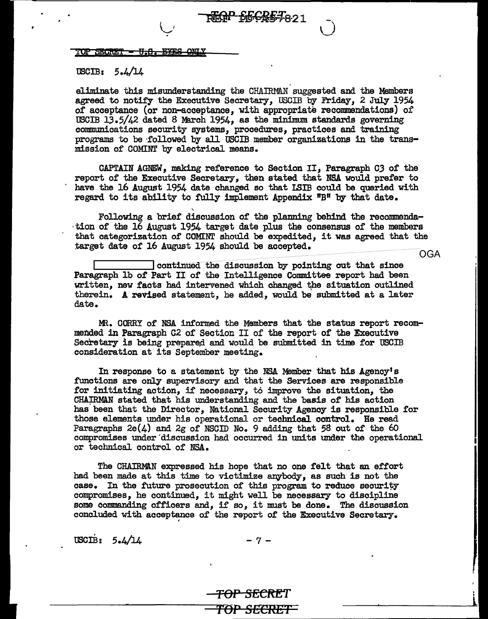## $\overline{\text{TOP}}$  SECRET = U.S. EYES ONLY

 $\sim$ 

## USCIB:  $5.4/14$

eliminate this misunderstanding the CHAIRMAN suggested and the Members agreed to notify the Executive Secretary, USCIB by Friday, 2 July 1954 of acceptance (or non-acceptance, with appropriate recommendations) of USCIB 13.5/42 dated 8 March 1954, as the minimum standards governing communications security systems, procedures, practices and training programs to be followed by all USCIB member organizations in the transmission of COMINT by electrical means,

**EFGP SFCRETA21** 

CAPTAIN AGNEW, making reference to Section II, Paragraph CJ of the report of the Executive Secretary, then stated that NSA would prefer to have the 16 August 1954 date changed so that I.SIB could be queried with regard to its ability to fully implement Appendix "B" by that date,

Following a brief discussion of the planning behind the recommenda-<br>tion of the 16 August 1954 target date plus the consensus of the members that categorization of COMINT should be expedited, it was agreed that the target date of 16 August 1954 should be accepted.

OGA

continued the discussion by pointing out that since Paragraph lb of Part II of the Intelligence Committee report had been written, new facts had intervened which changed the situation outlined therein. A revised statement, he added, would be submitted at a later date.

MR. CORRY of NSA informed the Members that the status report recommended in Paragraph C2 of Section II of the report of the Executive Secretary is being prepared and would be submitted in time for USCIB consideration at its September meeting.

In response to a statement by the NSA Member that bis Agency's .functions are only supervisory and that the Services are responsible for initiating action, if necessary, to improve the situation, the CHAIRMAN stated that his understanding and the basis of his action has been that the Director, National Security Agency is responsible for those elements under his operational or technical control. He read Paragraphs  $2e(4)$  and  $2g$  of NSCID No. 9 adding that 58 out of the 60 compromises under discussion had occurred in units under the operational or technical control of NSA,

The CHAIRMAN expressed his hope that no one felt that an effort had been made at this time to victimize anybody, as such is not the case. In the future prosecution of this program to reduce security compromises, he continued, it might well be necessary to discipline some commanding officers and, if so, it must be done. The discussion concluded with acceptance of the report of the Executive Secretary.

 $\text{USCIB:} \quad 5.4/14 \quad -7 -$ 

NACH S

<del>TOP SECRE</del>T